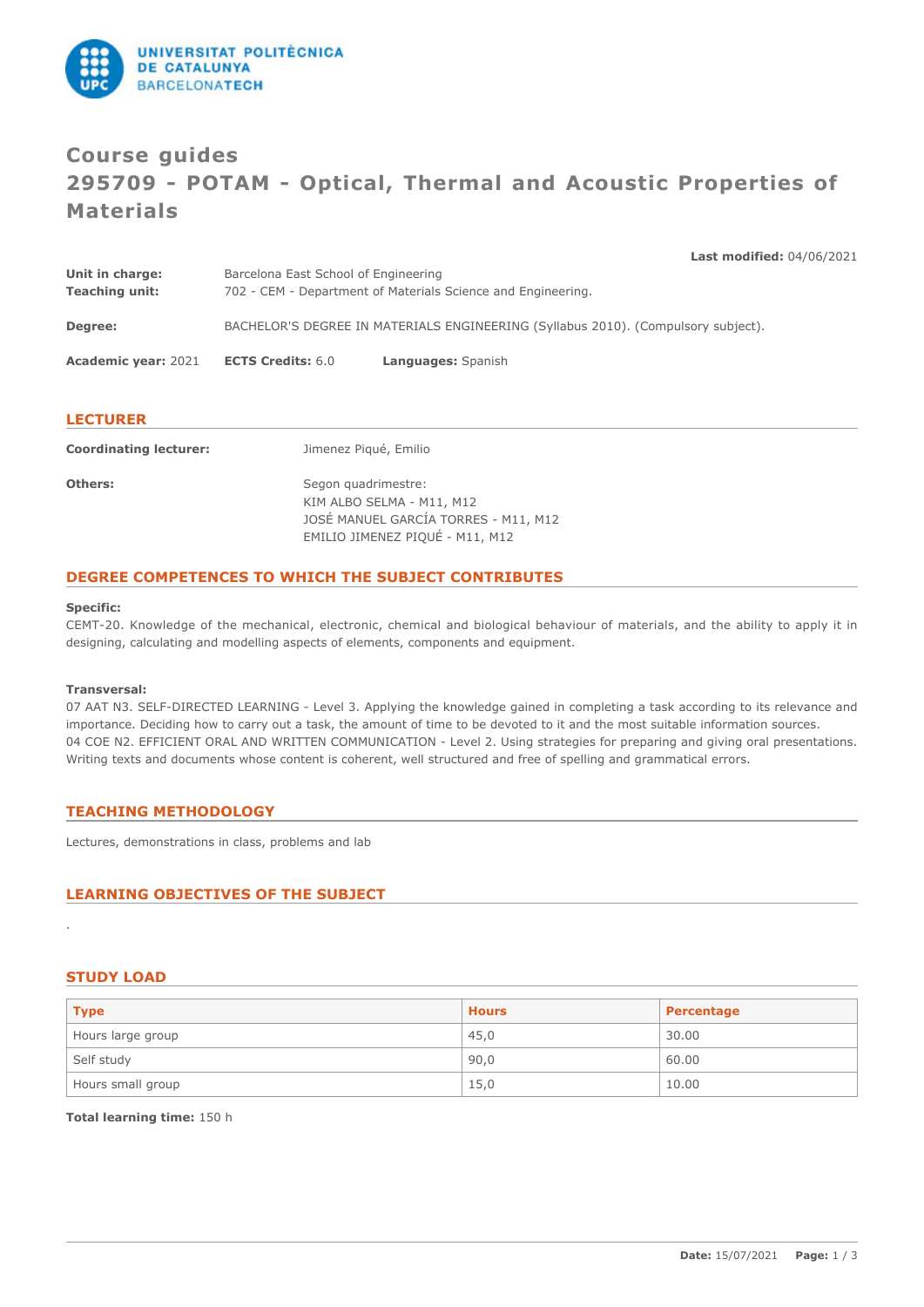

# **Course guides 295709 - POTAM - Optical, Thermal and Acoustic Properties of Materials**

**Last modified:** 04/06/2021 **Unit in charge:** Barcelona East School of Engineering **Teaching unit:** 702 - CEM - Department of Materials Science and Engineering. **Degree:** BACHELOR'S DEGREE IN MATERIALS ENGINEERING (Syllabus 2010). (Compulsory subject). **Academic year:** 2021 **ECTS Credits:** 6.0 **Languages:** Spanish

### **LECTURER**

| <b>Coordinating lecturer:</b> | Jimenez Piqué, Emilio                |
|-------------------------------|--------------------------------------|
| Others:                       | Segon quadrimestre:                  |
|                               | KIM ALBO SELMA - M11, M12            |
|                               | JOSÉ MANUEL GARCÍA TORRES - M11, M12 |
|                               | EMILIO JIMENEZ PIQUÉ - M11, M12      |

### **DEGREE COMPETENCES TO WHICH THE SUBJECT CONTRIBUTES**

#### **Specific:**

CEMT-20. Knowledge of the mechanical, electronic, chemical and biological behaviour of materials, and the ability to apply it in designing, calculating and modelling aspects of elements, components and equipment.

#### **Transversal:**

07 AAT N3. SELF-DIRECTED LEARNING - Level 3. Applying the knowledge gained in completing a task according to its relevance and importance. Deciding how to carry out a task, the amount of time to be devoted to it and the most suitable information sources. 04 COE N2. EFFICIENT ORAL AND WRITTEN COMMUNICATION - Level 2. Using strategies for preparing and giving oral presentations. Writing texts and documents whose content is coherent, well structured and free of spelling and grammatical errors.

### **TEACHING METHODOLOGY**

Lectures, demonstrations in class, problems and lab

# **LEARNING OBJECTIVES OF THE SUBJECT**

### **STUDY LOAD**

.

| <b>Type</b>       | <b>Hours</b> | Percentage |
|-------------------|--------------|------------|
| Hours large group | 45,0         | 30.00      |
| Self study        | 90,0         | 60.00      |
| Hours small group | 15,0         | 10.00      |

**Total learning time:** 150 h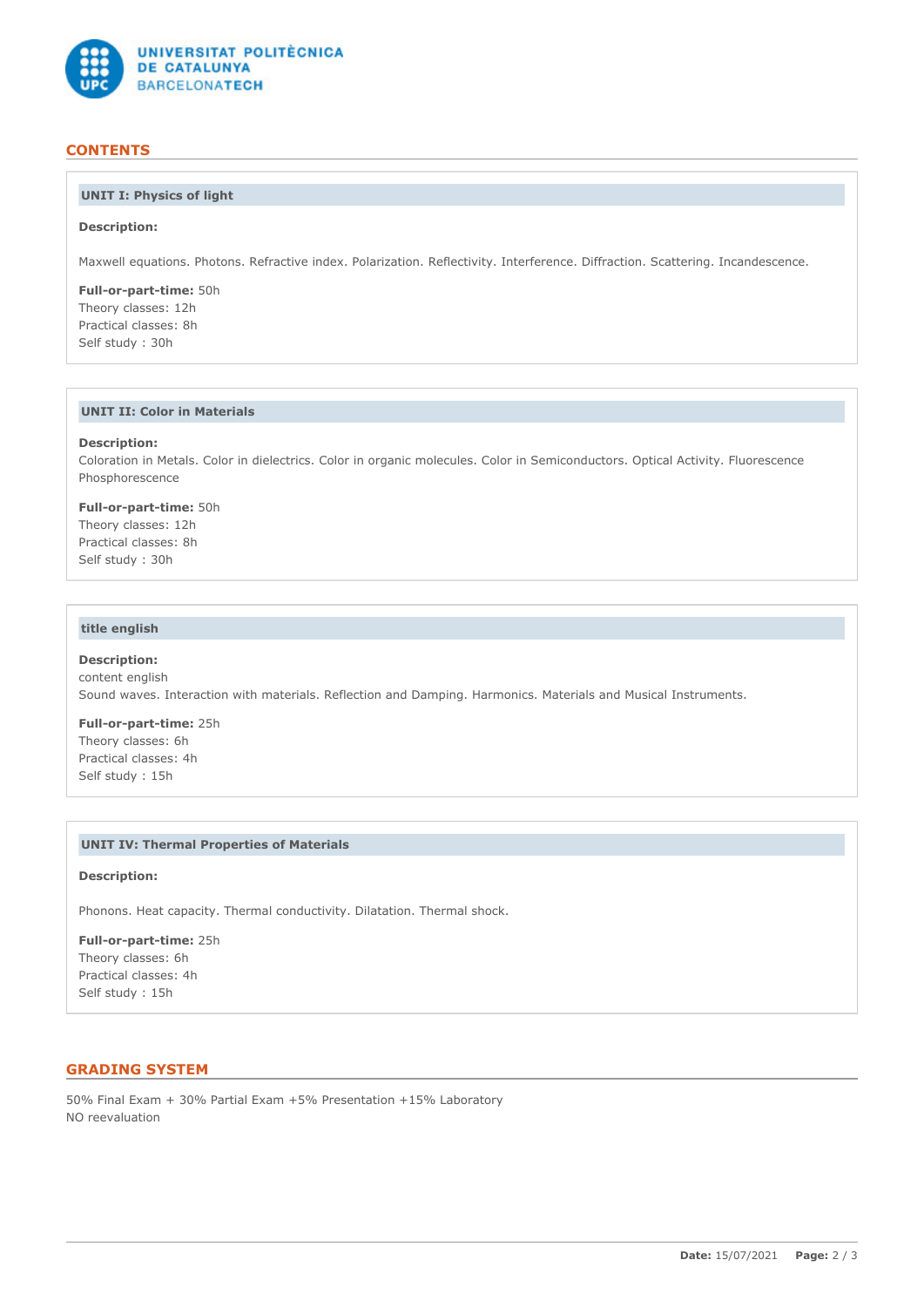

## **CONTENTS**

# **UNIT I: Physics of light**

#### **Description:**

Maxwell equations. Photons. Refractive index. Polarization. Reflectivity. Interference. Diffraction. Scattering. Incandescence.

**Full-or-part-time:** 50h Theory classes: 12h Practical classes: 8h Self study : 30h

# **UNIT II: Color in Materials**

#### **Description:**

Coloration in Metals. Color in dielectrics. Color in organic molecules. Color in Semiconductors. Optical Activity. Fluorescence Phosphorescence

**Full-or-part-time:** 50h

Theory classes: 12h Practical classes: 8h Self study : 30h

## **title english**

### **Description:** content english Sound waves. Interaction with materials. Reflection and Damping. Harmonics. Materials and Musical Instruments.

**Full-or-part-time:** 25h Theory classes: 6h Practical classes: 4h Self study : 15h

#### **UNIT IV: Thermal Properties of Materials**

#### **Description:**

Phonons. Heat capacity. Thermal conductivity. Dilatation. Thermal shock.

**Full-or-part-time:** 25h Theory classes: 6h Practical classes: 4h Self study : 15h

# **GRADING SYSTEM**

50% Final Exam + 30% Partial Exam +5% Presentation +15% Laboratory NO reevaluation